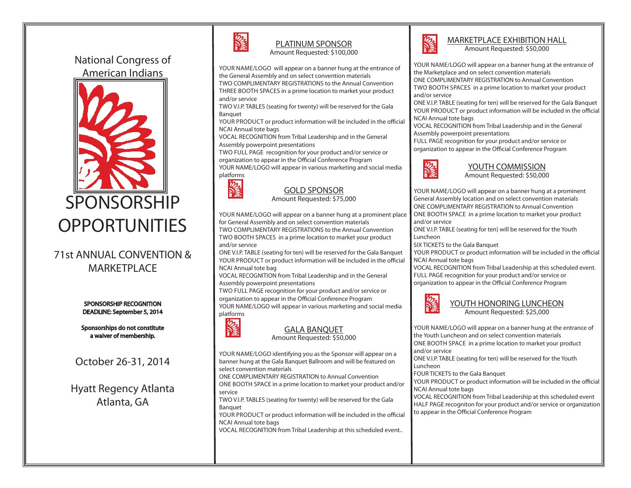# National Congress of American Indians

֧֖֖֖֖֖֖֪֖֖֖֖֪֪֦֖֧֪֪֦֚֚֚֚֚֚֚֚֚֚֚֚֚֚֞֝֬֝֝֝֝֟֓֝֝֟֩֬֝֝֬֝֬֝֬֝֬֝֬֝֬֝֬֝֬֝֬֝֬֝֬֝֬֝֬֝֬֝֬



## 71st ANNUAL CONVENTION & MARKETPLACE

SPONSORSHIP RECOGNITION DEADLINE: September 5, 2014

Sponsorships do not constitute a waiver of membership.

October 26-31, 2014

Hyatt Regency Atlanta Atlanta, GA



# PLATINUM SPONSOR

Amount Requested: \$100,000

YOUR NAME/LOGO will appear on a banner hung at the entrance of the General Assembly and on select convention materials

TWO COMPLIMENTARY REGISTRATIONS to the Annual Convention THREE BOOTH SPACES in a prime location to market your product and/or service

TWO V.I.P. TABLES (seating for twenty) will be reserved for the Gala Banquet

YOUR PRODUCT or product information will be included in the official NCAI Annual tote bags

VOCAL RECOGNITION from Tribal Leadership and in the General Assembly powerpoint presentations

TWO FULL PAGE recognition for your product and/or service or organization to appear in the Official Conference Program YOUR NAME/LOGO will appear in various marketing and social media platforms



# GOLD SPONSOR

Amount Requested: \$75,000

YOUR NAME/LOGO will appear on a banner hung at a prominent place for General Assembly and on select convention materials TWO COMPLIMENTARY REGISTRATIONS to the Annual Convention TWO BOOTH SPACES in a prime location to market your product and/or service

ONE V.I.P. TABLE (seating for ten) will be reserved for the Gala Banquet YOUR PRODUCT or product information will be included in the official NCAI Annual tote bag

VOCAL RECOGNITION from Tribal Leadership and in the General Assembly powerpoint presentations

TWO FULL PAGE recognition for your product and/or service or organization to appear in the Official Conference Program YOUR NAME/LOGO will appear in various marketing and social media platforms



### GALA BANQUET

Amount Requested: \$50,000

YOUR NAME/LOGO identifying you as the Sponsor will appear on a banner hung at the Gala Banquet Ballroom and will be featured on select convention materials

ONE COMPLIMENTARY REGISTRATION to Annual Convention ONE BOOTH SPACE in a prime location to market your product and/or service

TWO V.I.P. TABLES (seating for twenty) will be reserved for the Gala Banquet

YOUR PRODUCT or product information will be included in the official NCAI Annual tote bags

VOCAL RECOGNITION from Tribal Leadership at this scheduled event..



# MARKETPLACE EXHIBITION HALL

Amount Requested: \$50,000

YOUR NAME/LOGO will appear on a banner hung at the entrance of the Marketplace and on select convention materials

ONE COMPLIMENTARY REGISTRATION to Annual Convention TWO BOOTH SPACES in a prime location to market your product and/or service

ONE V.I.P. TABLE (seating for ten) will be reserved for the Gala Banquet YOUR PRODUCT or product information will be included in the official NCAI Annual tote bags

VOCAL RECOGNITION from Tribal Leadership and in the General Assembly powerpoint presentations

FULL PAGE recognition for your product and/or service or organization to appear in the Official Conference Program



# YOUTH COMMISSION

Amount Requested: \$50,000

YOUR NAME/LOGO will appear on a banner hung at a prominent General Assembly location and on select convention materials ONE COMPLIMENTARY REGISTRATION to Annual Convention ONE BOOTH SPACE in a prime location to market your product and/or service

ONE V.I.P. TABLE (seating for ten) will be reserved for the Youth Luncheon

SIX TICKETS to the Gala Banquet

YOUR PRODUCT or product information will be included in the official NCAI Annual tote bags

VOCAL RECOGNITION from Tribal Leadership at this scheduled event. FULL PAGE recognition for your product and/or service or organization to appear in the Official Conference Program



#### YOUTH HONORING LUNCHEON Amount Requested: \$25,000

YOUR NAME/LOGO will appear on a banner hung at the entrance of the Youth Luncheon and on select convention materials ONE BOOTH SPACE in a prime location to market your product and/or service ONE V.I.P. TABLE (seating for ten) will be reserved for the Youth Luncheon FOUR TICKETS to the Gala Banquet YOUR PRODUCT or product information will be included in the official NCAI Annual tote bags VOCAL RECOGNITION from Tribal Leadership at this scheduled event HALF PAGE recogniton for your product and/or service or organization

to appear in the Official Conference Program